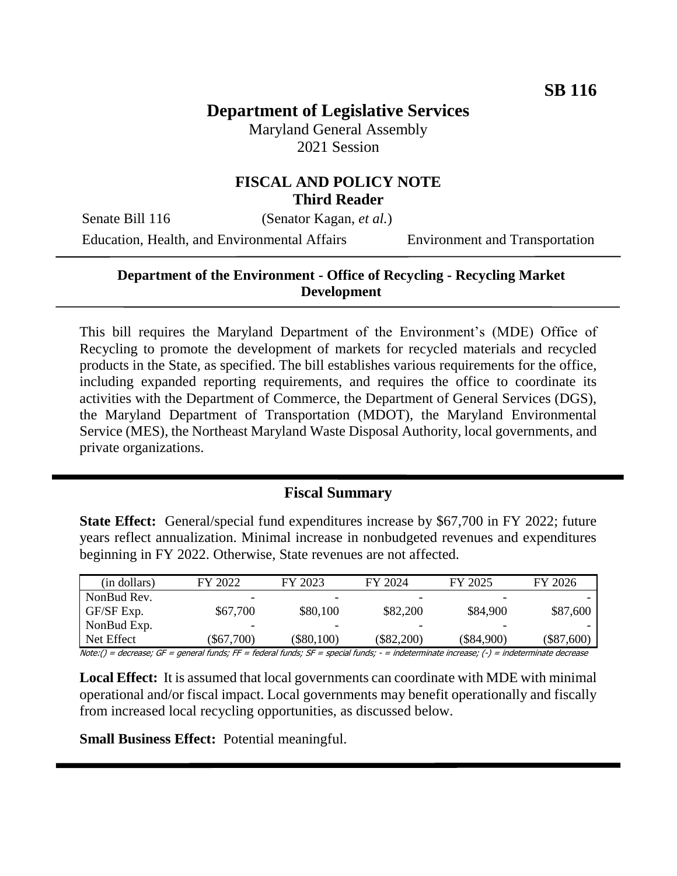# **Department of Legislative Services**

Maryland General Assembly 2021 Session

#### **FISCAL AND POLICY NOTE Third Reader**

Senate Bill 116 (Senator Kagan, *et al.*) Education, Health, and Environmental Affairs Environment and Transportation

#### **Department of the Environment - Office of Recycling - Recycling Market Development**

This bill requires the Maryland Department of the Environment's (MDE) Office of Recycling to promote the development of markets for recycled materials and recycled products in the State, as specified. The bill establishes various requirements for the office, including expanded reporting requirements, and requires the office to coordinate its activities with the Department of Commerce, the Department of General Services (DGS), the Maryland Department of Transportation (MDOT), the Maryland Environmental Service (MES), the Northeast Maryland Waste Disposal Authority, local governments, and private organizations.

#### **Fiscal Summary**

**State Effect:** General/special fund expenditures increase by \$67,700 in FY 2022; future years reflect annualization. Minimal increase in nonbudgeted revenues and expenditures beginning in FY 2022. Otherwise, State revenues are not affected.

| (in dollars) | FY 2022                                                                                                                       | FY 2023      | FY 2024      | FY 2025      | FY 2026      |
|--------------|-------------------------------------------------------------------------------------------------------------------------------|--------------|--------------|--------------|--------------|
| NonBud Rev.  |                                                                                                                               |              |              | -            |              |
| GF/SF Exp.   | \$67,700                                                                                                                      | \$80,100     | \$82,200     | \$84,900     | \$87,600     |
| NonBud Exp.  |                                                                                                                               |              |              |              |              |
| Net Effect   | \$67,700                                                                                                                      | $(\$80,100)$ | $(\$82,200)$ | $(\$84,900)$ | $(\$87,600)$ |
|              | Neter() descesses CE received Corder EE Cadacal Corder CE received Corder to determinate in march () to determinate descesses |              |              |              |              |

Note:() = decrease; GF = general funds; FF = federal funds; SF = special funds; - = indeterminate increase; (-) = indeterminate decrease

**Local Effect:** It is assumed that local governments can coordinate with MDE with minimal operational and/or fiscal impact. Local governments may benefit operationally and fiscally from increased local recycling opportunities, as discussed below.

**Small Business Effect:** Potential meaningful.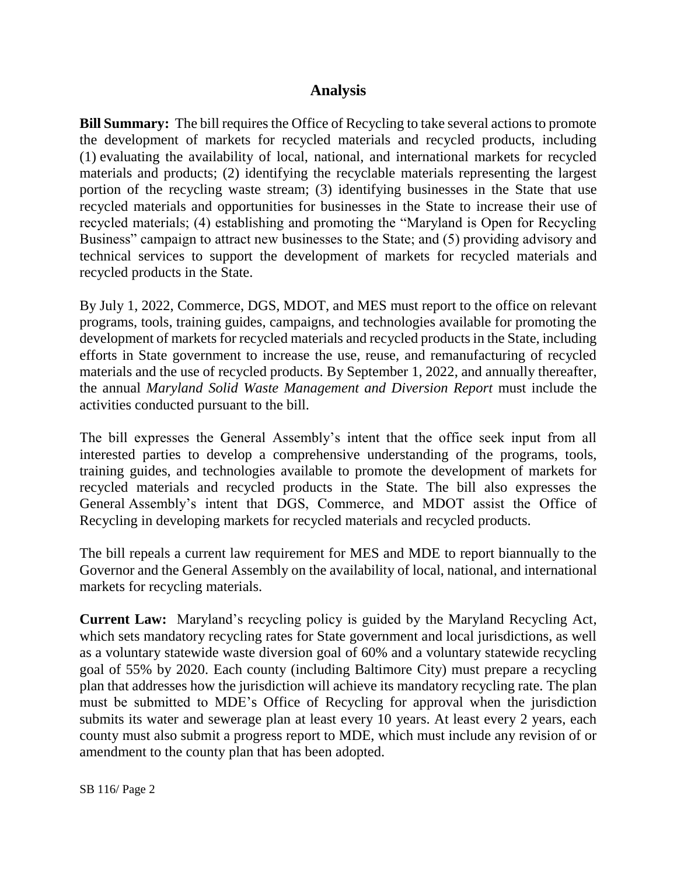### **Analysis**

**Bill Summary:** The bill requires the Office of Recycling to take several actions to promote the development of markets for recycled materials and recycled products, including (1) evaluating the availability of local, national, and international markets for recycled materials and products; (2) identifying the recyclable materials representing the largest portion of the recycling waste stream; (3) identifying businesses in the State that use recycled materials and opportunities for businesses in the State to increase their use of recycled materials; (4) establishing and promoting the "Maryland is Open for Recycling Business" campaign to attract new businesses to the State; and (5) providing advisory and technical services to support the development of markets for recycled materials and recycled products in the State.

By July 1, 2022, Commerce, DGS, MDOT, and MES must report to the office on relevant programs, tools, training guides, campaigns, and technologies available for promoting the development of markets for recycled materials and recycled products in the State, including efforts in State government to increase the use, reuse, and remanufacturing of recycled materials and the use of recycled products. By September 1, 2022, and annually thereafter, the annual *Maryland Solid Waste Management and Diversion Report* must include the activities conducted pursuant to the bill.

The bill expresses the General Assembly's intent that the office seek input from all interested parties to develop a comprehensive understanding of the programs, tools, training guides, and technologies available to promote the development of markets for recycled materials and recycled products in the State. The bill also expresses the General Assembly's intent that DGS, Commerce, and MDOT assist the Office of Recycling in developing markets for recycled materials and recycled products.

The bill repeals a current law requirement for MES and MDE to report biannually to the Governor and the General Assembly on the availability of local, national, and international markets for recycling materials.

**Current Law:** Maryland's recycling policy is guided by the Maryland Recycling Act, which sets mandatory recycling rates for State government and local jurisdictions, as well as a voluntary statewide waste diversion goal of 60% and a voluntary statewide recycling goal of 55% by 2020. Each county (including Baltimore City) must prepare a recycling plan that addresses how the jurisdiction will achieve its mandatory recycling rate. The plan must be submitted to MDE's Office of Recycling for approval when the jurisdiction submits its water and sewerage plan at least every 10 years. At least every 2 years, each county must also submit a progress report to MDE, which must include any revision of or amendment to the county plan that has been adopted.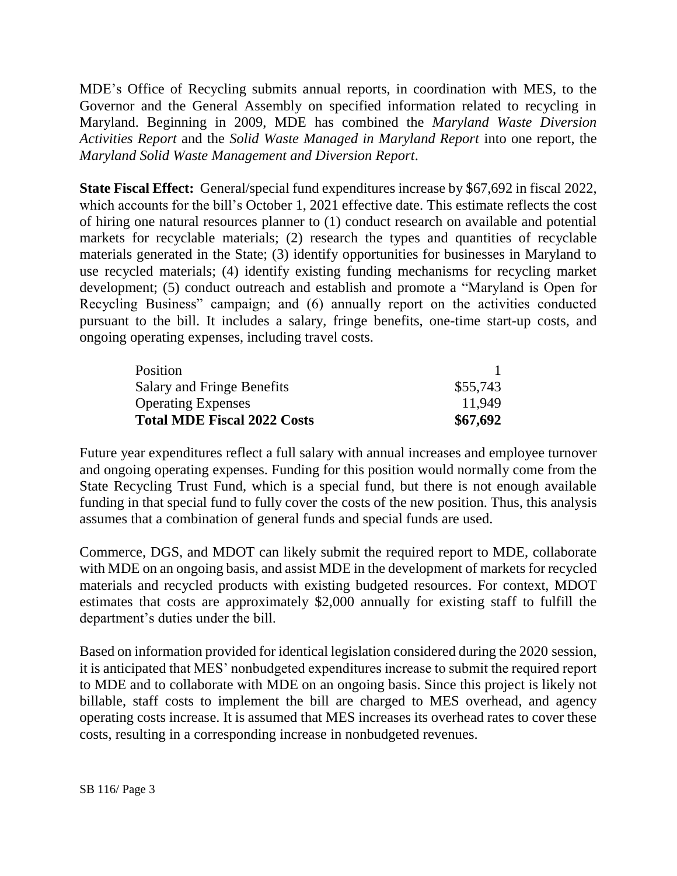MDE's Office of Recycling submits annual reports, in coordination with MES, to the Governor and the General Assembly on specified information related to recycling in Maryland. Beginning in 2009, MDE has combined the *Maryland Waste Diversion Activities Report* and the *Solid Waste Managed in Maryland Report* into one report, the *Maryland Solid Waste Management and Diversion Report*.

**State Fiscal Effect:** General/special fund expenditures increase by \$67,692 in fiscal 2022, which accounts for the bill's October 1, 2021 effective date. This estimate reflects the cost of hiring one natural resources planner to (1) conduct research on available and potential markets for recyclable materials; (2) research the types and quantities of recyclable materials generated in the State; (3) identify opportunities for businesses in Maryland to use recycled materials; (4) identify existing funding mechanisms for recycling market development; (5) conduct outreach and establish and promote a "Maryland is Open for Recycling Business" campaign; and (6) annually report on the activities conducted pursuant to the bill. It includes a salary, fringe benefits, one-time start-up costs, and ongoing operating expenses, including travel costs.

| Position                           |          |
|------------------------------------|----------|
| Salary and Fringe Benefits         | \$55,743 |
| <b>Operating Expenses</b>          | 11.949   |
| <b>Total MDE Fiscal 2022 Costs</b> | \$67,692 |

Future year expenditures reflect a full salary with annual increases and employee turnover and ongoing operating expenses. Funding for this position would normally come from the State Recycling Trust Fund, which is a special fund, but there is not enough available funding in that special fund to fully cover the costs of the new position. Thus, this analysis assumes that a combination of general funds and special funds are used.

Commerce, DGS, and MDOT can likely submit the required report to MDE, collaborate with MDE on an ongoing basis, and assist MDE in the development of markets for recycled materials and recycled products with existing budgeted resources. For context, MDOT estimates that costs are approximately \$2,000 annually for existing staff to fulfill the department's duties under the bill.

Based on information provided for identical legislation considered during the 2020 session, it is anticipated that MES' nonbudgeted expenditures increase to submit the required report to MDE and to collaborate with MDE on an ongoing basis. Since this project is likely not billable, staff costs to implement the bill are charged to MES overhead, and agency operating costs increase. It is assumed that MES increases its overhead rates to cover these costs, resulting in a corresponding increase in nonbudgeted revenues.